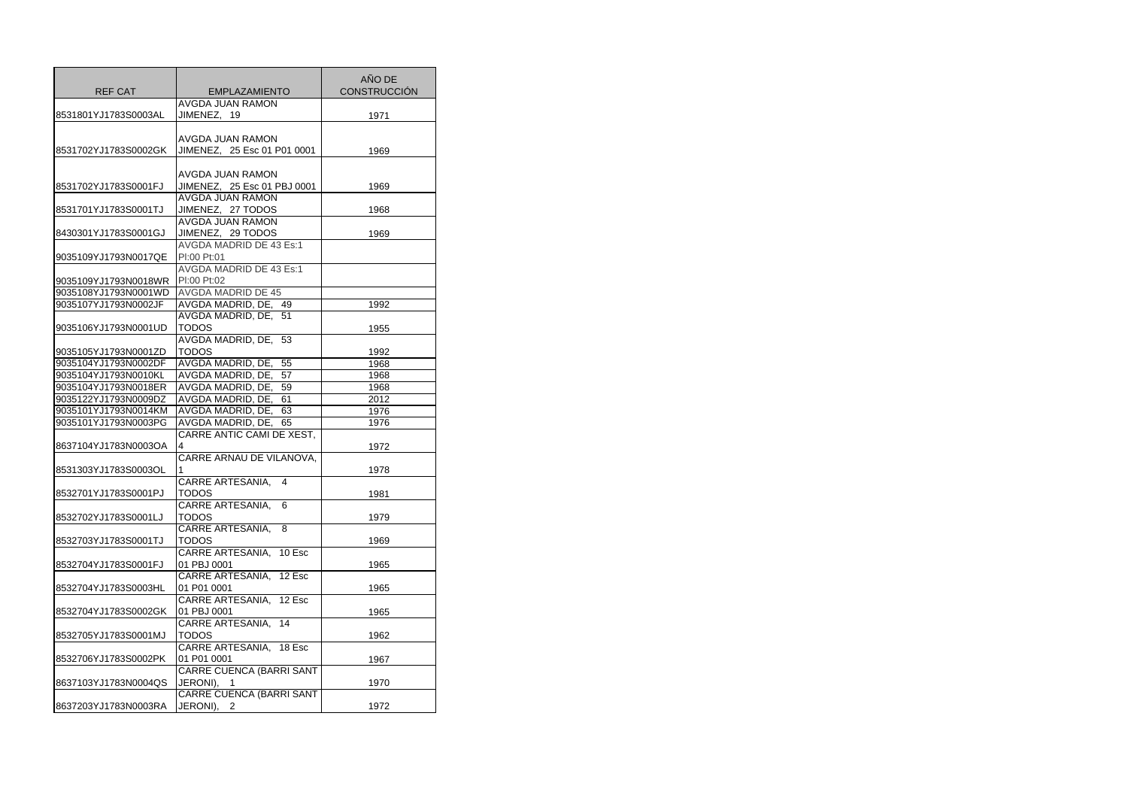| <b>REF CAT</b>       | <b>EMPLAZAMIENTO</b>                      | AÑO DE<br><b>CONSTRUCCIÓN</b> |
|----------------------|-------------------------------------------|-------------------------------|
|                      | <b>AVGDA JUAN RAMON</b>                   |                               |
| 8531801YJ1783S0003AL | JIMENEZ, 19                               | 1971                          |
|                      | AVGDA JUAN RAMON                          |                               |
| 8531702YJ1783S0002GK | JIMENEZ, 25 Esc 01 P01 0001               | 1969                          |
|                      |                                           |                               |
|                      | AVGDA JUAN RAMON                          |                               |
| 8531702YJ1783S0001FJ | JIMENEZ, 25 Esc 01 PBJ 0001               | 1969                          |
|                      | AVGDA JUAN RAMON                          |                               |
| 8531701YJ1783S0001TJ | JIMENEZ, 27 TODOS                         | 1968                          |
|                      | AVGDA JUAN RAMON                          |                               |
| 8430301YJ1783S0001GJ | JIMENEZ, 29 TODOS                         | 1969                          |
|                      | <b>AVGDA MADRID DE 43 Es:1</b>            |                               |
| 9035109YJ1793N0017QE | PI:00 Pt:01                               |                               |
|                      | <b>AVGDA MADRID DE 43 Es:1</b>            |                               |
| 9035109YJ1793N0018WR | PI:00 Pt:02                               |                               |
| 9035108YJ1793N0001WD | <b>AVGDA MADRID DE 45</b>                 |                               |
| 9035107YJ1793N0002JF | AVGDA MADRID, DE, 49                      | 1992                          |
|                      | AVGDA MADRID, DE, 51                      |                               |
| 9035106YJ1793N0001UD | <b>TODOS</b>                              | 1955                          |
|                      | AVGDA MADRID, DE, 53                      |                               |
| 9035105YJ1793N0001ZD | <b>TODOS</b>                              | 1992                          |
| 9035104YJ1793N0002DF | AVGDA MADRID, DE,<br>55                   | 1968                          |
| 9035104YJ1793N0010KL | AVGDA MADRID, DE, 57                      | 1968                          |
| 9035104YJ1793N0018ER | AVGDA MADRID, DE, 59                      | 1968                          |
| 9035122YJ1793N0009DZ | AVGDA MADRID, DE, 61                      | 2012                          |
| 9035101YJ1793N0014KM | AVGDA MADRID, DE,<br>63                   | 1976                          |
| 9035101YJ1793N0003PG | AVGDA MADRID, DE, 65                      | 1976                          |
|                      | CARRE ANTIC CAMI DE XEST,                 |                               |
| 8637104YJ1783N0003OA | 4                                         | 1972                          |
|                      | CARRE ARNAU DE VILANOVA.                  |                               |
| 8531303YJ1783S0003OL |                                           | 1978                          |
|                      | <b>CARRE ARTESANIA,</b><br>$\overline{4}$ |                               |
| 8532701YJ1783S0001PJ | <b>TODOS</b>                              | 1981                          |
| 8532702YJ1783S0001LJ | CARRE ARTESANIA,<br>6<br>TODOS            |                               |
|                      | CARRE ARTESANIA,<br>8                     | 1979                          |
| 8532703YJ1783S0001TJ | <b>TODOS</b>                              | 1969                          |
|                      | CARRE ARTESANIA,<br>10 Esc                |                               |
| 8532704YJ1783S0001FJ | 01 PBJ 0001                               | 1965                          |
|                      | CARRE ARTESANIA, 12 Esc                   |                               |
| 8532704YJ1783S0003HL | 01 P01 0001                               | 1965                          |
|                      | CARRE ARTESANIA, 12 Esc                   |                               |
| 8532704YJ1783S0002GK | 01 PBJ 0001                               | 1965                          |
|                      | CARRE ARTESANIA,<br>14                    |                               |
| 8532705YJ1783S0001MJ | TODOS                                     | 1962                          |
|                      | CARRE ARTESANIA, 18 Esc                   |                               |
| 8532706YJ1783S0002PK | 01 P01 0001                               | 1967                          |
|                      | <b>CARRE CUENCA (BARRI SANT</b>           |                               |
| 8637103YJ1783N0004QS | JERONI), 1                                | 1970                          |
|                      | <b>CARRE CUENCA (BARRI SANT</b>           |                               |
| 8637203YJ1783N0003RA | JERONI), 2                                | 1972                          |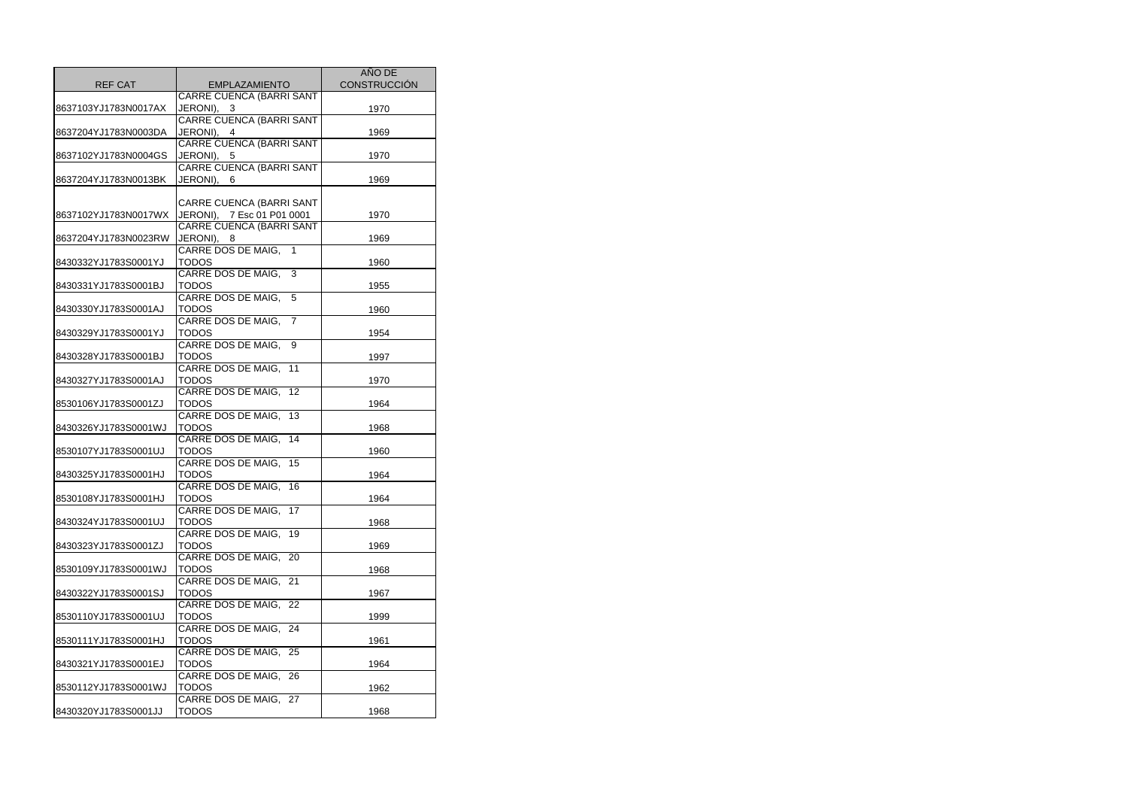|                      |                                          | <b>AÑO DE</b>       |
|----------------------|------------------------------------------|---------------------|
| <b>REF CAT</b>       | <b>EMPLAZAMIENTO</b>                     | <b>CONSTRUCCIÓN</b> |
|                      | CARRE CUENCA (BARRI SANT                 |                     |
| 8637103YJ1783N0017AX | JERONI), 3                               | 1970                |
|                      | <b>CARRE CUENCA (BARRI SANT</b>          |                     |
| 8637204YJ1783N0003DA | JERONI), 4                               | 1969                |
|                      | <b>CARRE CUENCA (BARRI SANT</b>          |                     |
| 8637102YJ1783N0004GS | JERONI), 5                               | 1970                |
|                      | <b>CARRE CUENCA (BARRI SANT</b>          |                     |
| 8637204YJ1783N0013BK | JERONI), 6                               | 1969                |
|                      |                                          |                     |
|                      | CARRE CUENCA (BARRI SANT                 |                     |
| 8637102YJ1783N0017WX | JERONI), 7 Esc 01 P01 0001               | 1970                |
|                      | <b>CARRE CUENCA (BARRI SANT</b>          |                     |
| 8637204YJ1783N0023RW | JERONI),<br>- 8                          | 1969                |
|                      | CARRE DOS DE MAIG,<br>$\mathbf{1}$       |                     |
| 8430332YJ1783S0001YJ | <b>TODOS</b>                             | 1960                |
|                      | <b>CARRE DOS DE MAIG,</b><br>3           |                     |
| 8430331YJ1783S0001BJ | <b>TODOS</b>                             | 1955                |
|                      | CARRE DOS DE MAIG,<br>5                  |                     |
| 8430330YJ1783S0001AJ | <b>TODOS</b>                             | 1960                |
|                      | CARRE DOS DE MAIG,<br>$\overline{7}$     |                     |
| 8430329YJ1783S0001YJ | <b>TODOS</b>                             | 1954                |
|                      | CARRE DOS DE MAIG,<br>9                  |                     |
| 8430328YJ1783S0001BJ | <b>TODOS</b>                             | 1997                |
|                      | CARRE DOS DE MAIG.<br>11                 |                     |
| 8430327YJ1783S0001AJ | <b>TODOS</b><br>CARRE DOS DE MAIG.<br>12 | 1970                |
| 8530106YJ1783S0001ZJ | TODOS                                    |                     |
|                      | CARRE DOS DE MAIG,<br>13                 | 1964                |
| 8430326YJ1783S0001WJ | <b>TODOS</b>                             | 1968                |
|                      | CARRE DOS DE MAIG,<br>$\overline{14}$    |                     |
| 8530107YJ1783S0001UJ | TODOS                                    | 1960                |
|                      | CARRE DOS DE MAIG,<br>15                 |                     |
| 8430325YJ1783S0001HJ | <b>TODOS</b>                             | 1964                |
|                      | CARRE DOS DE MAIG,<br>16                 |                     |
| 8530108YJ1783S0001HJ | <b>TODOS</b>                             | 1964                |
|                      | CARRE DOS DE MAIG,<br>17                 |                     |
| 8430324YJ1783S0001UJ | TODOS                                    | 1968                |
|                      | CARRE DOS DE MAIG,<br>19                 |                     |
| 8430323YJ1783S0001ZJ | TODOS                                    | 1969                |
|                      | CARRE DOS DE MAIG,<br>20                 |                     |
| 8530109YJ1783S0001WJ | <b>TODOS</b>                             | 1968                |
|                      | CARRE DOS DE MAIG,<br>21                 |                     |
| 8430322YJ1783S0001SJ | TODOS                                    | 1967                |
|                      | CARRE DOS DE MAIG, 22                    |                     |
| 8530110YJ1783S0001UJ | TODOS                                    | 1999                |
|                      | CARRE DOS DE MAIG, 24                    |                     |
| 8530111YJ1783S0001HJ | TODOS                                    | 1961                |
|                      | CARRE DOS DE MAIG, 25                    |                     |
| 8430321YJ1783S0001EJ | TODOS                                    | 1964                |
|                      | CARRE DOS DE MAIG, 26                    |                     |
| 8530112YJ1783S0001WJ | <b>TODOS</b>                             | 1962                |
|                      | CARRE DOS DE MAIG, 27                    |                     |
| 8430320YJ1783S0001JJ | <b>TODOS</b>                             | 1968                |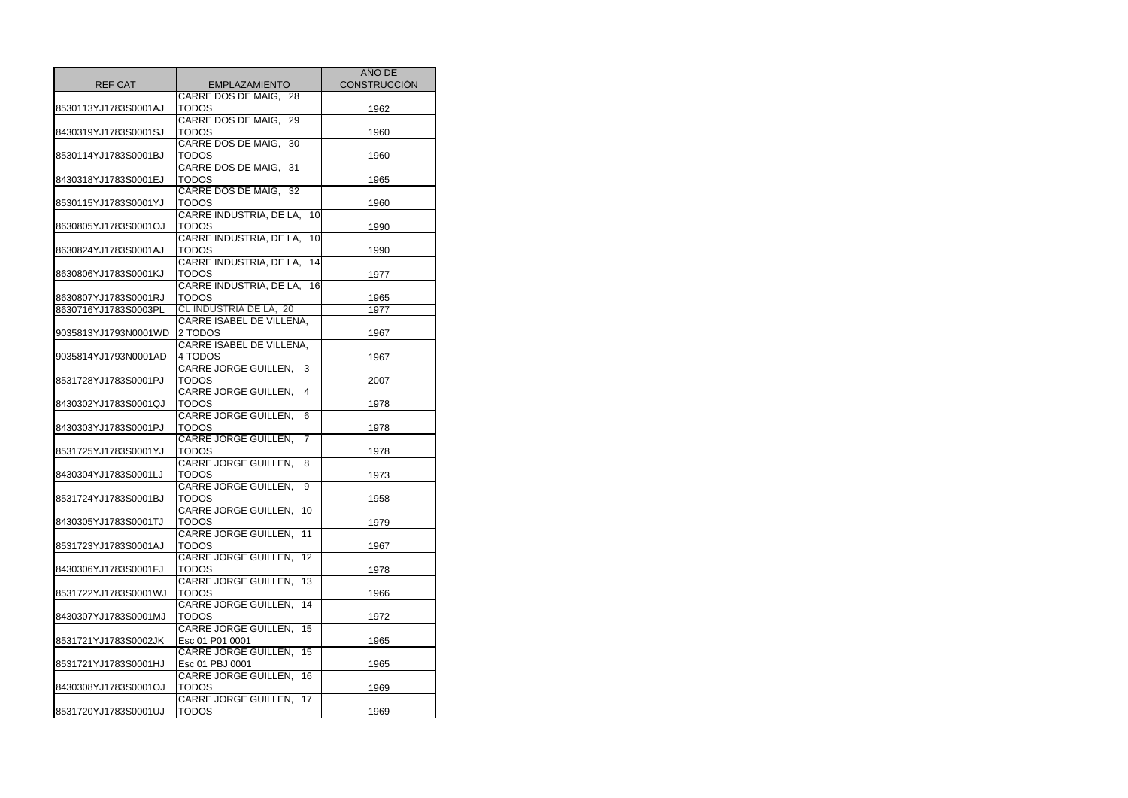|                      |                                                | AÑO DE              |
|----------------------|------------------------------------------------|---------------------|
| <b>REF CAT</b>       | <b>EMPLAZAMIENTO</b>                           | <b>CONSTRUCCIÓN</b> |
|                      | CARRE DOS DE MAIG, 28                          |                     |
| 8530113YJ1783S0001AJ | <b>TODOS</b>                                   | 1962                |
|                      | CARRE DOS DE MAIG, 29                          |                     |
| 8430319YJ1783S0001SJ | <b>TODOS</b>                                   | 1960                |
|                      | CARRE DOS DE MAIG, 30                          |                     |
| 8530114YJ1783S0001BJ | <b>TODOS</b>                                   | 1960                |
|                      | CARRE DOS DE MAIG, 31                          |                     |
| 8430318YJ1783S0001EJ | TODOS                                          | 1965                |
|                      | CARRE DOS DE MAIG, 32                          |                     |
| 8530115YJ1783S0001YJ | TODOS                                          | 1960                |
|                      | CARRE INDUSTRIA, DE LA,<br>10l                 |                     |
| 8630805YJ1783S0001OJ | TODOS                                          | 1990                |
|                      | CARRE INDUSTRIA, DE LA,<br>10                  |                     |
| 8630824YJ1783S0001AJ | TODOS                                          | 1990                |
|                      | CARRE INDUSTRIA, DE LA,<br>14                  |                     |
| 8630806YJ1783S0001KJ | <b>TODOS</b>                                   | 1977                |
|                      | CARRE INDUSTRIA, DE LA, 16                     |                     |
| 8630807YJ1783S0001RJ | <b>TODOS</b>                                   | 1965                |
| 8630716YJ1783S0003PL | CL INDUSTRIA DE LA, 20                         | 1977                |
|                      | CARRE ISABEL DE VILLENA,                       |                     |
| 9035813YJ1793N0001WD | 2 TODOS                                        | 1967                |
|                      | CARRE ISABEL DE VILLENA,                       |                     |
| 9035814YJ1793N0001AD | 4 TODOS                                        | 1967                |
|                      | <b>CARRE JORGE GUILLEN,</b><br>3               |                     |
| 8531728YJ1783S0001PJ | TODOS                                          | 2007                |
|                      | CARRE JORGE GUILLEN,<br>4                      |                     |
| 8430302YJ1783S0001QJ | TODOS                                          | 1978                |
|                      | <b>CARRE JORGE GUILLEN,</b><br>6               |                     |
| 8430303YJ1783S0001PJ | TODOS                                          | 1978                |
|                      | CARRE JORGE GUILLEN,<br>$\overline{7}$         |                     |
| 8531725YJ1783S0001YJ | <b>TODOS</b>                                   | 1978                |
|                      | CARRE JORGE GUILLEN,<br>8                      |                     |
| 8430304YJ1783S0001LJ | <b>TODOS</b>                                   | 1973                |
|                      | <b>CARRE JORGE GUILLEN,</b><br>9               |                     |
| 8531724YJ1783S0001BJ | <b>TODOS</b>                                   | 1958                |
|                      | <b>CARRE JORGE GUILLEN,</b><br>10              |                     |
| 8430305YJ1783S0001TJ | <b>TODOS</b>                                   | 1979                |
|                      | CARRE JORGE GUILLEN,<br>11                     |                     |
| 8531723YJ1783S0001AJ | <b>TODOS</b>                                   | 1967                |
|                      | <b>CARRE JORGE GUILLEN,</b><br>12              |                     |
| 8430306YJ1783S0001FJ | <b>TODOS</b>                                   | 1978                |
|                      | <b>CARRE JORGE GUILLEN.</b><br>13              |                     |
| 8531722YJ1783S0001WJ | <b>TODOS</b>                                   | 1966                |
|                      | CARRE JORGE GUILLEN,<br>14                     |                     |
| 8430307YJ1783S0001MJ | <b>TODOS</b>                                   | 1972                |
|                      | CARRE JORGE GUILLEN,<br>15                     |                     |
| 8531721YJ1783S0002JK | Esc 01 P01 0001                                | 1965                |
|                      | <b>CARRE JORGE GUILLEN,</b><br>$\overline{15}$ |                     |
| 8531721YJ1783S0001HJ | Esc 01 PBJ 0001                                | 1965                |
|                      | CARRE JORGE GUILLEN,<br>16                     |                     |
| 8430308YJ1783S0001OJ | TODOS                                          | 1969                |
|                      | CARRE JORGE GUILLEN,<br>$\overline{17}$        |                     |
| 8531720YJ1783S0001UJ | <b>TODOS</b>                                   | 1969                |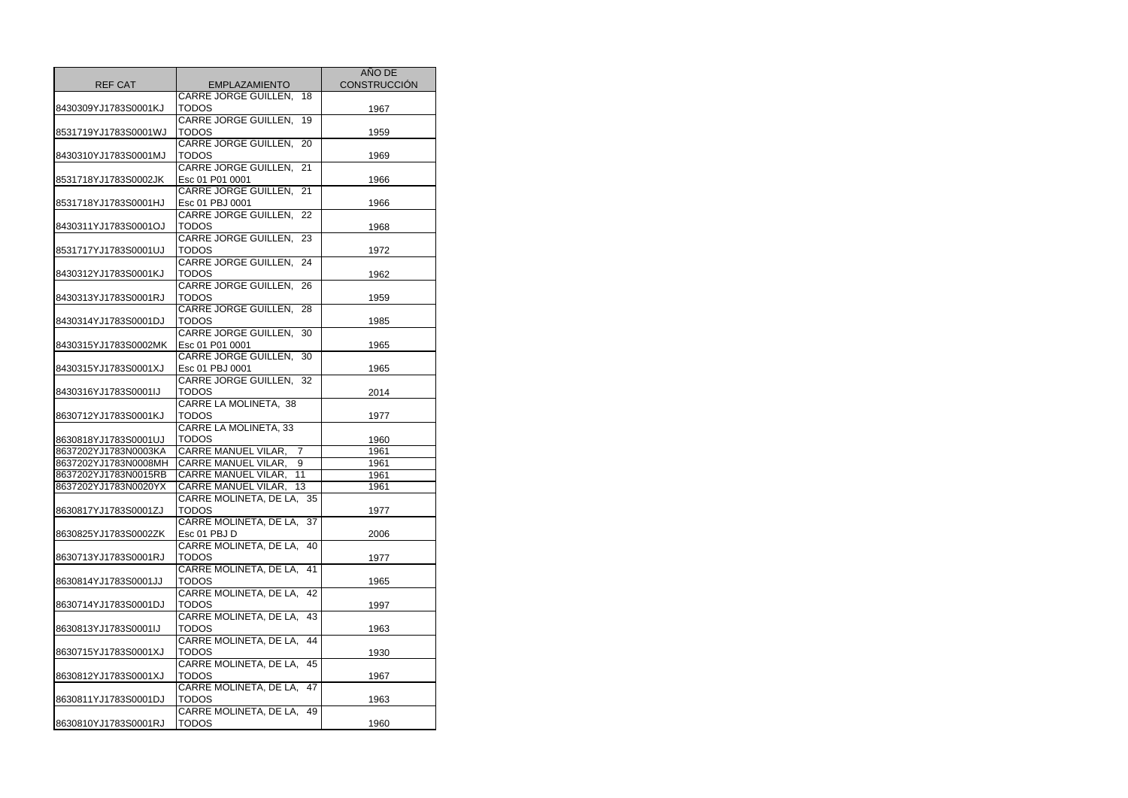|                      |                                              | AÑO DE              |
|----------------------|----------------------------------------------|---------------------|
| <b>REF CAT</b>       | <b>EMPLAZAMIENTO</b>                         | <b>CONSTRUCCIÓN</b> |
|                      | CARRE JORGE GUILLEN,<br>18                   |                     |
| 8430309YJ1783S0001KJ | TODOS                                        | 1967                |
|                      | <b>CARRE JORGE GUILLEN,</b><br>19            |                     |
| 8531719YJ1783S0001WJ | <b>TODOS</b>                                 | 1959                |
|                      | CARRE JORGE GUILLEN,<br>20                   |                     |
| 8430310YJ1783S0001MJ | <b>TODOS</b>                                 | 1969                |
|                      | <b>CARRE JORGE GUILLEN,</b><br>21            |                     |
| 8531718YJ1783S0002JK | Esc 01 P01 0001                              | 1966                |
|                      | <b>CARRE JORGE GUILLEN,</b><br>21            |                     |
| 8531718YJ1783S0001HJ | Esc 01 PBJ 0001                              | 1966                |
|                      | CARRE JORGE GUILLEN,<br>22                   |                     |
| 8430311YJ1783S0001OJ | TODOS                                        | 1968                |
|                      | <b>CARRE JORGE GUILLEN,</b><br>23            |                     |
| 8531717YJ1783S0001UJ | TODOS                                        | 1972                |
|                      | CARRE JORGE GUILLEN,<br>24                   |                     |
| 8430312YJ1783S0001KJ | TODOS                                        | 1962                |
|                      | CARRE JORGE GUILLEN, 26                      |                     |
| 8430313YJ1783S0001RJ | <b>TODOS</b>                                 | 1959                |
|                      | CARRE JORGE GUILLEN,<br>28                   |                     |
| 8430314YJ1783S0001DJ | <b>TODOS</b>                                 | 1985                |
|                      | <b>CARRE JORGE GUILLEN,</b><br>30            |                     |
| 8430315YJ1783S0002MK | Esc 01 P01 0001                              | 1965                |
|                      | <b>CARRE JORGE GUILLEN,</b><br>30            |                     |
| 8430315YJ1783S0001XJ | Esc 01 PBJ 0001                              | 1965                |
|                      | CARRE JORGE GUILLEN,<br>32                   |                     |
| 8430316YJ1783S0001IJ | TODOS                                        | 2014                |
|                      | CARRE LA MOLINETA, 38                        |                     |
| 8630712YJ1783S0001KJ | <b>TODOS</b>                                 | 1977                |
|                      | CARRE LA MOLINETA, 33                        |                     |
| 8630818YJ1783S0001UJ | <b>TODOS</b>                                 | 1960                |
| 8637202YJ1783N0003KA | <b>CARRE MANUEL VILAR,</b><br>$\overline{7}$ | 1961                |
| 8637202YJ1783N0008MH | <b>CARRE MANUEL VILAR,</b><br>9              | 1961                |
| 8637202YJ1783N0015RB | CARRE MANUEL VILAR,<br>11                    | 1961                |
| 8637202YJ1783N0020YX | CARRE MANUEL VILAR,<br>$\overline{13}$       | 1961                |
|                      | CARRE MOLINETA, DE LA, 35                    |                     |
| 8630817YJ1783S0001ZJ | TODOS                                        | 1977                |
|                      | CARRE MOLINETA, DE LA, 37                    |                     |
| 8630825YJ1783S0002ZK | Esc 01 PBJ D                                 | 2006                |
|                      | CARRE MOLINETA, DE LA.<br>40                 |                     |
| 8630713YJ1783S0001RJ | TODOS                                        | 1977                |
|                      | CARRE MOLINETA, DE LA,<br>41                 |                     |
| 8630814YJ1783S0001JJ | TODOS                                        | 1965                |
|                      | CARRE MOLINETA, DE LA,<br>42                 |                     |
| 8630714YJ1783S0001DJ | <b>TODOS</b>                                 | 1997                |
|                      | CARRE MOLINETA, DE LA.<br>43                 |                     |
| 8630813YJ1783S0001IJ | TODOS                                        | 1963                |
|                      | CARRE MOLINETA, DE LA.<br>44                 |                     |
| 8630715YJ1783S0001XJ | TODOS                                        | 1930                |
|                      | CARRE MOLINETA, DE LA, 45                    |                     |
| 8630812YJ1783S0001XJ | TODOS                                        | 1967                |
|                      | <b>CARRE MOLINETA, DE LA,</b><br>47          |                     |
| 8630811YJ1783S0001DJ | TODOS                                        | 1963                |
|                      | CARRE MOLINETA, DE LA, 49                    |                     |
| 8630810YJ1783S0001RJ | <b>TODOS</b>                                 | 1960                |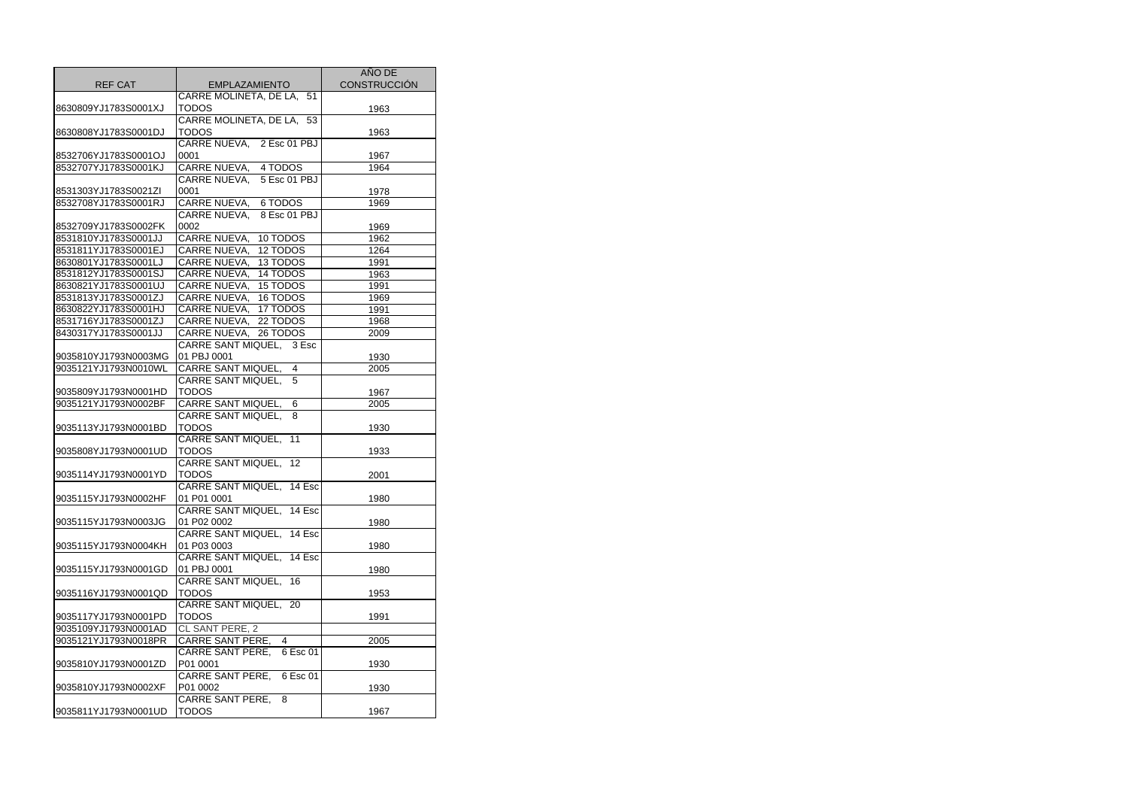|                                              |                                     | AÑO DE              |
|----------------------------------------------|-------------------------------------|---------------------|
| <b>REF CAT</b>                               | <b>EMPLAZAMIENTO</b>                | <b>CONSTRUCCIÓN</b> |
|                                              | CARRE MOLINETA, DE LA, 51           |                     |
| 8630809YJ1783S0001XJ                         | <b>TODOS</b>                        | 1963                |
|                                              | CARRE MOLINETA, DE LA, 53           |                     |
| 8630808YJ1783S0001DJ                         | <b>TODOS</b>                        | 1963                |
|                                              | CARRE NUEVA, 2 Esc 01 PBJ           |                     |
| 8532706YJ1783S0001OJ                         | 0001                                | 1967                |
| 8532707YJ1783S0001KJ                         | CARRE NUEVA, 4 TODOS                | 1964                |
|                                              | CARRE NUEVA,<br>5 Esc 01 PBJ        |                     |
| 8531303YJ1783S0021ZI                         | 0001                                | 1978                |
| 8532708YJ1783S0001RJ                         | CARRE NUEVA, 6 TODOS                | 1969                |
|                                              | CARRE NUEVA,<br>8 Esc 01 PBJ        |                     |
| 8532709YJ1783S0002FK                         | 0002                                | 1969                |
| 8531810YJ1783S0001JJ                         | CARRE NUEVA,<br>10 TODOS            | 1962                |
| 8531811YJ1783S0001EJ                         | CARRE NUEVA,<br>12 TODOS            | 1264                |
| 8630801YJ1783S0001LJ                         | <b>CARRE NUEVA,</b><br>13 TODOS     | 1991                |
| 8531812YJ1783S0001SJ                         | CARRE NUEVA,<br>14 TODOS            | 1963                |
| 8630821YJ1783S0001UJ                         | CARRE NUEVA,<br>15 TODOS            | 1991                |
| 8531813YJ1783S0001ZJ                         | <b>CARRE NUEVA,</b><br>16 TODOS     | 1969                |
| 8630822YJ1783S0001HJ                         | CARRE NUEVA,<br>17 TODOS            | 1991                |
| 8531716YJ1783S0001ZJ                         | CARRE NUEVA, 22 TODOS               | 1968                |
| 8430317YJ1783S0001JJ                         | CARRE NUEVA, 26 TODOS               | 2009                |
|                                              | CARRE SANT MIQUEL, 3 Esc            |                     |
| 9035810YJ1793N0003MG                         | 01 PBJ 0001                         | 1930                |
| 9035121YJ1793N0010WL                         | CARRE SANT MIQUEL,<br>4             |                     |
|                                              | 5                                   | 2005                |
|                                              | CARRE SANT MIQUEL,<br><b>TODOS</b>  |                     |
| 9035809YJ1793N0001HD<br>9035121YJ1793N0002BF | <b>CARRE SANT MIQUEL,</b><br>6      | 1967                |
|                                              |                                     | 2005                |
|                                              | CARRE SANT MIQUEL,<br>8             |                     |
| 9035113YJ1793N0001BD                         | TODOS<br>$\overline{11}$            | 1930                |
|                                              | <b>CARRE SANT MIQUEL,</b>           |                     |
| 9035808YJ1793N0001UD                         | <b>TODOS</b>                        | 1933                |
|                                              | <b>CARRE SANT MIQUEL,</b><br>12     |                     |
| 9035114YJ1793N0001YD                         | <b>TODOS</b>                        | 2001                |
|                                              | <b>CARRE SANT MIQUEL,</b><br>14 Esc |                     |
| 9035115YJ1793N0002HF                         | 01 P01 0001                         | 1980                |
|                                              | CARRE SANT MIQUEL, 14 Esc           |                     |
| 9035115YJ1793N0003JG                         | 01 P02 0002                         | 1980                |
|                                              | CARRE SANT MIQUEL, 14 Esc           |                     |
| 9035115YJ1793N0004KH                         | 01 P03 0003                         | 1980                |
|                                              | CARRE SANT MIQUEL, 14 Esc           |                     |
| 9035115YJ1793N0001GD                         | 01 PBJ 0001                         | 1980                |
|                                              | CARRE SANT MIQUEL,<br>16            |                     |
| 9035116YJ1793N0001QD                         | TODOS                               | 1953                |
|                                              | CARRE SANT MIQUEL, 20               |                     |
| 9035117YJ1793N0001PD                         | <b>TODOS</b>                        | 1991                |
| 9035109YJ1793N0001AD                         | CL SANT PERE, 2                     |                     |
| 9035121YJ1793N0018PR                         | CARRE SANT PERE,<br>4               | 2005                |
|                                              | CARRE SANT PERE,<br>6 Esc 01        |                     |
| 9035810YJ1793N0001ZD                         | P01 0001                            | 1930                |
|                                              | CARRE SANT PERE,<br>6 Esc 01        |                     |
| 9035810YJ1793N0002XF                         | P01 0002                            | 1930                |
|                                              | CARRE SANT PERE,<br>8               |                     |
| 9035811YJ1793N0001UD                         | <b>TODOS</b>                        | 1967                |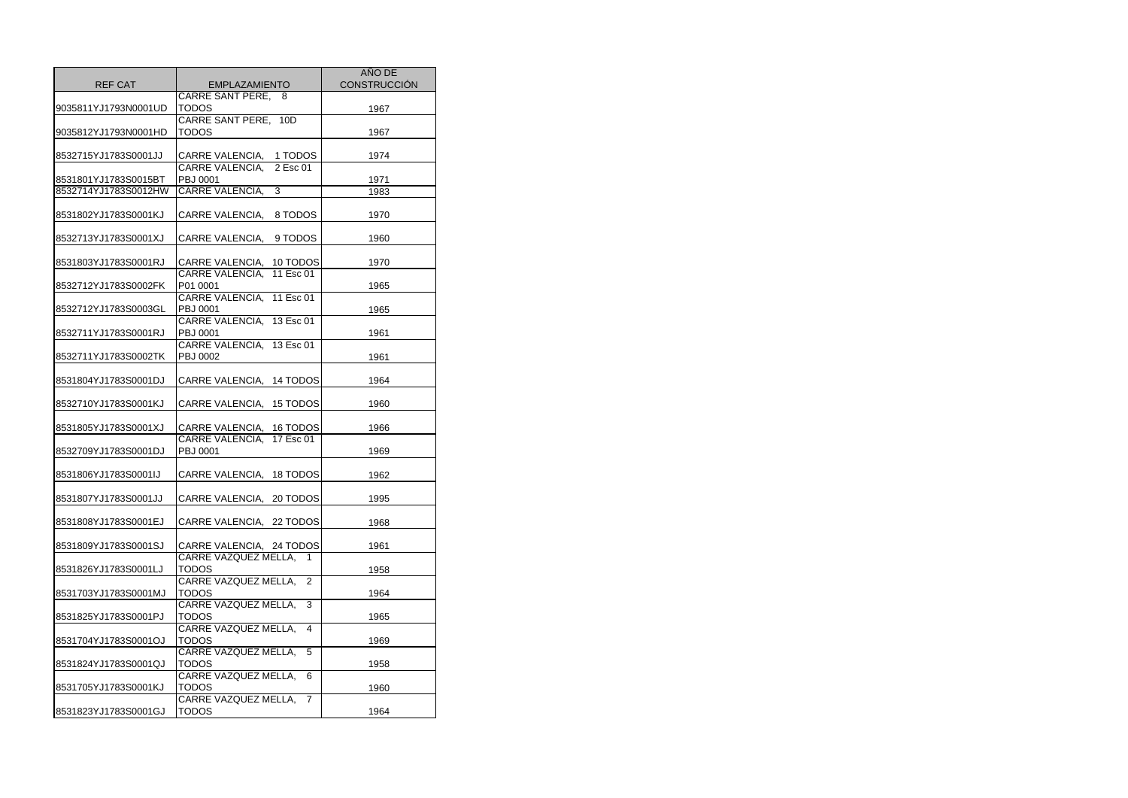| <b>REF CAT</b>                               | <b>EMPLAZAMIENTO</b>                      | <b>AÑO DE</b><br><b>CONSTRUCCIÓN</b> |
|----------------------------------------------|-------------------------------------------|--------------------------------------|
|                                              | CARRE SANT PERE,<br>8                     |                                      |
| 9035811YJ1793N0001UD                         | <b>TODOS</b>                              | 1967                                 |
|                                              | CARRE SANT PERE, 10D                      |                                      |
| 9035812YJ1793N0001HD                         | <b>TODOS</b>                              | 1967                                 |
|                                              |                                           |                                      |
| 8532715YJ1783S0001JJ                         | CARRE VALENCIA,<br>1 TODOS                | 1974                                 |
|                                              | <b>CARRE VALENCIA,</b><br>2 Esc 01        |                                      |
| 8531801YJ1783S0015BT<br>8532714YJ1783S0012HW | PBJ 0001<br>CARRE VALENCIA.<br>3          | 1971<br>1983                         |
|                                              |                                           |                                      |
| 8531802YJ1783S0001KJ                         | CARRE VALENCIA,<br>8 TODOS                | 1970                                 |
|                                              |                                           |                                      |
| 8532713YJ1783S0001XJ                         | CARRE VALENCIA,<br>9 TODOS                | 1960                                 |
|                                              |                                           |                                      |
| 8531803YJ1783S0001RJ                         | CARRE VALENCIA, 10 TODOS                  | 1970                                 |
|                                              | CARRE VALENCIA, 11 Esc 01                 |                                      |
| 8532712YJ1783S0002FK                         | P01 0001                                  | 1965                                 |
|                                              | CARRE VALENCIA, 11 Esc 01                 |                                      |
| 8532712YJ1783S0003GL                         | PBJ 0001                                  | 1965                                 |
|                                              | CARRE VALENCIA, 13 Esc 01                 |                                      |
| 8532711YJ1783S0001RJ                         | PBJ 0001                                  | 1961                                 |
|                                              | CARRE VALENCIA, 13 Esc 01                 |                                      |
| 8532711YJ1783S0002TK                         | <b>PBJ 0002</b>                           | 1961                                 |
|                                              |                                           |                                      |
| 8531804YJ1783S0001DJ                         | CARRE VALENCIA, 14 TODOS                  | 1964                                 |
| 8532710YJ1783S0001KJ                         | CARRE VALENCIA, 15 TODOS                  |                                      |
|                                              |                                           | 1960                                 |
| 8531805YJ1783S0001XJ                         | CARRE VALENCIA, 16 TODOS                  | 1966                                 |
|                                              | <b>CARRE VALENCIA,</b><br>17 Esc 01       |                                      |
| 8532709YJ1783S0001DJ                         | PBJ 0001                                  | 1969                                 |
|                                              |                                           |                                      |
| 8531806YJ1783S0001IJ                         | CARRE VALENCIA, 18 TODOS                  | 1962                                 |
|                                              |                                           |                                      |
| 8531807YJ1783S0001JJ                         | CARRE VALENCIA, 20 TODOS                  | 1995                                 |
|                                              |                                           |                                      |
| 8531808YJ1783S0001EJ                         | CARRE VALENCIA, 22 TODOS                  | 1968                                 |
|                                              |                                           |                                      |
| 8531809YJ1783S0001SJ                         | CARRE VALENCIA, 24 TODOS                  | 1961                                 |
|                                              | <b>CARRE VAZQUEZ MELLA,</b>               |                                      |
| 8531826YJ1783S0001LJ                         | TODOS<br><b>CARRE VAZQUEZ MELLA,</b><br>2 | 1958                                 |
| 8531703YJ1783S0001MJ                         | <b>TODOS</b>                              | 1964                                 |
|                                              | CARRE VAZQUEZ MELLA,<br>3                 |                                      |
| 8531825YJ1783S0001PJ                         | TODOS                                     | 1965                                 |
|                                              | CARRE VAZQUEZ MELLA,<br>4                 |                                      |
| 8531704YJ1783S0001OJ                         | TODOS                                     | 1969                                 |
|                                              | CARRE VAZQUEZ MELLA,<br>5                 |                                      |
| 8531824YJ1783S0001QJ                         | TODOS                                     | 1958                                 |
|                                              | CARRE VAZQUEZ MELLA,<br>6                 |                                      |
| 8531705YJ1783S0001KJ                         | <b>TODOS</b>                              | 1960                                 |
|                                              | <b>CARRE VAZQUEZ MELLA,</b><br>7          |                                      |
| 8531823YJ1783S0001GJ                         | <b>TODOS</b>                              | 1964                                 |